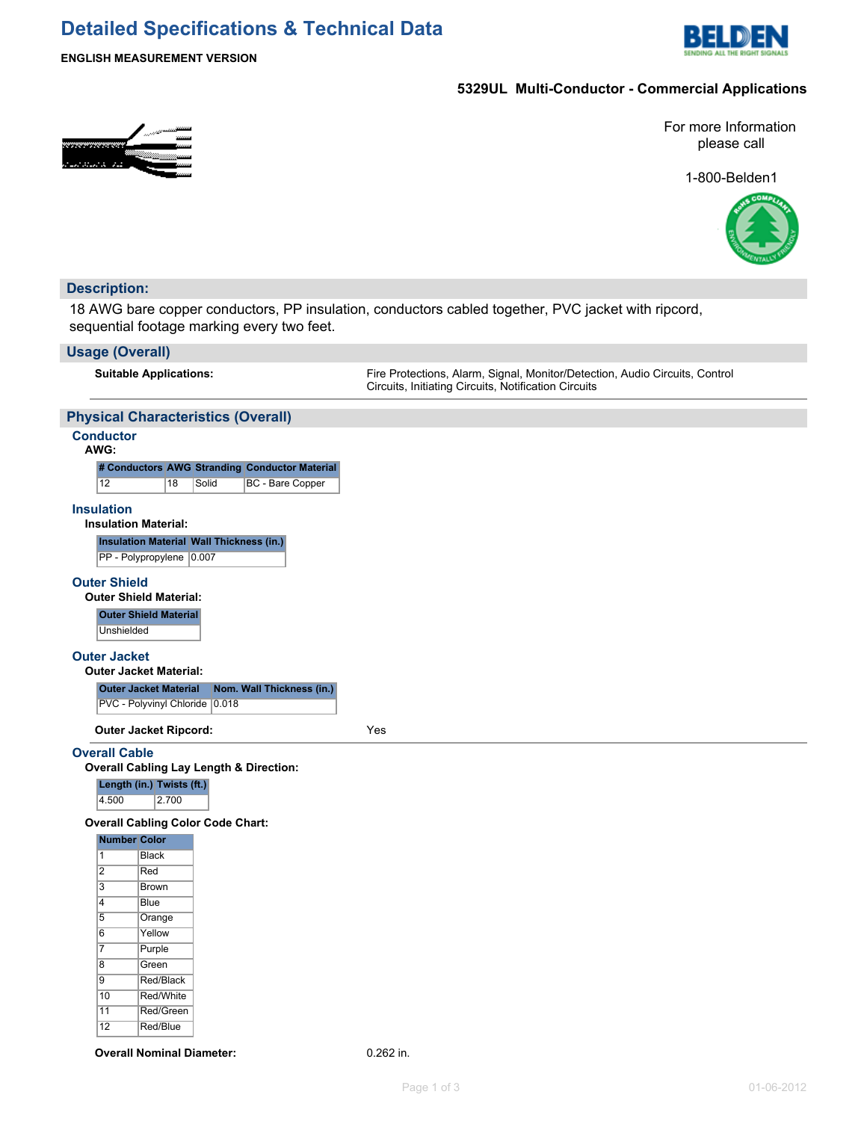# **Detailed Specifications & Technical Data**



**ENGLISH MEASUREMENT VERSION**

### **5329UL Multi-Conductor - Commercial Applications**



For more Information please call

1-800-Belden1



## **Description:**

18 AWG bare copper conductors, PP insulation, conductors cabled together, PVC jacket with ripcord, sequential footage marking every two feet.

## **Usage (Overall)**

| USAYU (UVULAII)                                                                                         |                                                                                                                                     |
|---------------------------------------------------------------------------------------------------------|-------------------------------------------------------------------------------------------------------------------------------------|
| <b>Suitable Applications:</b>                                                                           | Fire Protections, Alarm, Signal, Monitor/Detection, Audio Circuits, Control<br>Circuits, Initiating Circuits, Notification Circuits |
| <b>Physical Characteristics (Overall)</b>                                                               |                                                                                                                                     |
| <b>Conductor</b><br>AWG:                                                                                |                                                                                                                                     |
| # Conductors AWG Stranding Conductor Material<br>12<br>BC - Bare Copper<br>18<br>Solid                  |                                                                                                                                     |
| <b>Insulation</b><br><b>Insulation Material:</b>                                                        |                                                                                                                                     |
| Insulation Material Wall Thickness (in.)<br>PP - Polypropylene 0.007                                    |                                                                                                                                     |
| <b>Outer Shield</b><br><b>Outer Shield Material:</b>                                                    |                                                                                                                                     |
| <b>Outer Shield Material</b><br>Unshielded                                                              |                                                                                                                                     |
| <b>Outer Jacket</b><br><b>Outer Jacket Material:</b>                                                    |                                                                                                                                     |
| Nom. Wall Thickness (in.)<br><b>Outer Jacket Material</b>                                               |                                                                                                                                     |
| PVC - Polyvinyl Chloride 0.018                                                                          |                                                                                                                                     |
| <b>Outer Jacket Ripcord:</b>                                                                            | Yes                                                                                                                                 |
| <b>Overall Cable</b><br><b>Overall Cabling Lay Length &amp; Direction:</b><br>Length (in.) Twists (ft.) |                                                                                                                                     |

4.500 2.700

#### **Overall Cabling Color Code Chart:**

| <b>Number Color</b> |  |  |
|---------------------|--|--|
| Black               |  |  |
| Red                 |  |  |
| Brown               |  |  |
| Blue                |  |  |
| Orange              |  |  |
| Yellow              |  |  |
| Purple              |  |  |
| Green               |  |  |
| Red/Black           |  |  |
| Red/White           |  |  |
| Red/Green           |  |  |
| Red/Blue            |  |  |
|                     |  |  |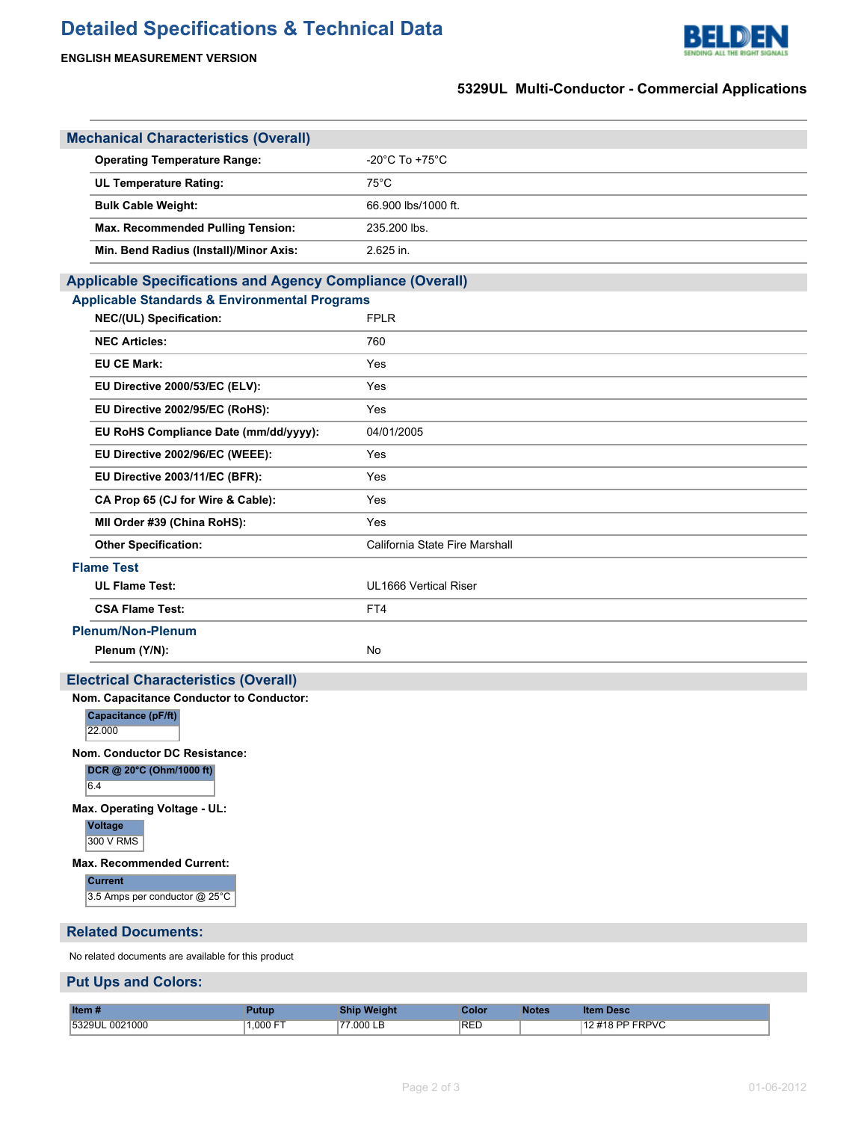# **Detailed Specifications & Technical Data**





## **5329UL Multi-Conductor - Commercial Applications**

| <b>Mechanical Characteristics (Overall)</b>                      |                                |
|------------------------------------------------------------------|--------------------------------|
| <b>Operating Temperature Range:</b>                              | -20°C To +75°C                 |
| <b>UL Temperature Rating:</b>                                    | $75^{\circ}$ C                 |
| <b>Bulk Cable Weight:</b>                                        | 66.900 lbs/1000 ft.            |
| Max. Recommended Pulling Tension:                                | 235.200 lbs.                   |
| Min. Bend Radius (Install)/Minor Axis:                           | 2.625 in.                      |
| <b>Applicable Specifications and Agency Compliance (Overall)</b> |                                |
| <b>Applicable Standards &amp; Environmental Programs</b>         |                                |
| NEC/(UL) Specification:                                          | <b>FPLR</b>                    |
| <b>NEC Articles:</b>                                             | 760                            |
| <b>EU CE Mark:</b>                                               | Yes                            |
| EU Directive 2000/53/EC (ELV):                                   | Yes                            |
| EU Directive 2002/95/EC (RoHS):                                  | Yes                            |
| EU RoHS Compliance Date (mm/dd/yyyy):                            | 04/01/2005                     |
| EU Directive 2002/96/EC (WEEE):                                  | Yes                            |
| EU Directive 2003/11/EC (BFR):                                   | Yes                            |
| CA Prop 65 (CJ for Wire & Cable):                                | Yes                            |
| MII Order #39 (China RoHS):                                      | Yes                            |
| <b>Other Specification:</b>                                      | California State Fire Marshall |
| <b>Flame Test</b>                                                |                                |
| <b>UL Flame Test:</b>                                            | UL1666 Vertical Riser          |
| <b>CSA Flame Test:</b>                                           | FT4                            |
| <b>Plenum/Non-Plenum</b>                                         |                                |
| Plenum (Y/N):                                                    | No                             |
| <b>Electrical Characteristics (Overall)</b>                      |                                |
| Nom. Capacitance Conductor to Conductor:                         |                                |
| Capacitance (pF/ft)<br>22.000                                    |                                |
| Nom. Conductor DC Resistance:                                    |                                |
| DCR @ 20°C (Ohm/1000 ft)<br>6.4                                  |                                |
| Max. Operating Voltage - UL:                                     |                                |
| Voltage<br>300 V RMS                                             |                                |
| Max. Recommended Current:                                        |                                |
| <b>Current</b><br>3.5 Amps per conductor @ 25°C                  |                                |
| <b>Related Documents:</b>                                        |                                |
|                                                                  |                                |

No related documents are available for this product

### **Put Ups and Colors:**

| Item#              |                    |            | ∶olor            | otes | Desc<br>lter |
|--------------------|--------------------|------------|------------------|------|--------------|
| 1000<br>53201<br>. | $1.000 F^{-}$<br>. | non I<br>. | <sup>1</sup> REL |      | RPVC         |